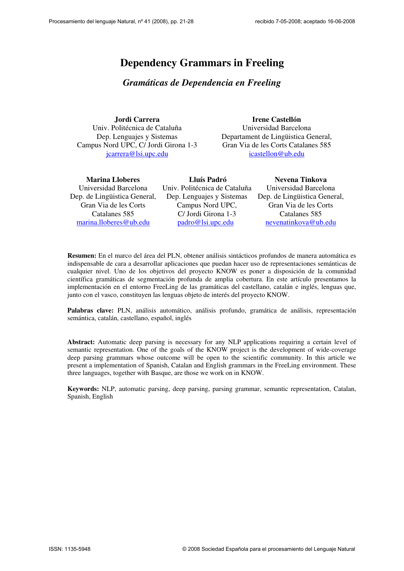# Dependency Grammars in Freeling

## Gramáticas de Dependencia en Freeling

Jordi Carrera

Univ. Politécnica de Cataluña Dep. Lenguajes y Sistemas Campus Nord UPC, C/ Jordi Girona 1-3 jcarrera@lsi.upc.edu

### Irene Castellón

Universidad Barcelona Departament de Lingüistica General, Gran Via de les Corts Catalanes 585 icastellon@ub.edu

| <b>Marina Lloberes</b>       | Lluís Padró                   | Nevena Tinkova               |
|------------------------------|-------------------------------|------------------------------|
| Universidad Barcelona        | Univ. Politécnica de Cataluña | Universidad Barcelona        |
| Dep. de Lingüistica General, | Dep. Lenguajes y Sistemas     | Dep. de Lingüistica General, |
| Gran Via de les Corts        | Campus Nord UPC,              | Gran Via de les Corts        |
| Catalanes 585                | C/ Jordi Girona 1-3           | Catalanes 585                |
| marina.lloberes@ub.edu       | padro@lsi.upc.edu             | nevenatinkova@ub.edu         |

Resumen: En el marco del área del PLN, obtener análisis sintácticos profundos de manera automática es indispensable de cara a desarrollar aplicaciones que puedan hacer uso de representaciones semánticas de cualquier nivel. Uno de los objetivos del proyecto KNOW es poner a disposición de la comunidad científica gramáticas de segmentación profunda de amplia cobertura. En este artículo presentamos la implementación en el entorno FreeLing de las gramáticas del castellano, catalán e inglés, lenguas que, junto con el vasco, constituyen las lenguas objeto de interés del proyecto KNOW.

Palabras clave: PLN, análisis automático, análisis profundo, gramática de análisis, representación semántica, catalán, castellano, español, inglés

Abstract: Automatic deep parsing is necessary for any NLP applications requiring a certain level of semantic representation. One of the goals of the KNOW project is the development of wide-coverage deep parsing grammars whose outcome will be open to the scientific community. In this article we present a implementation of Spanish, Catalan and English grammars in the FreeLing environment. These three languages, together with Basque, are those we work on in KNOW.

Keywords: NLP, automatic parsing, deep parsing, parsing grammar, semantic representation, Catalan, Spanish, English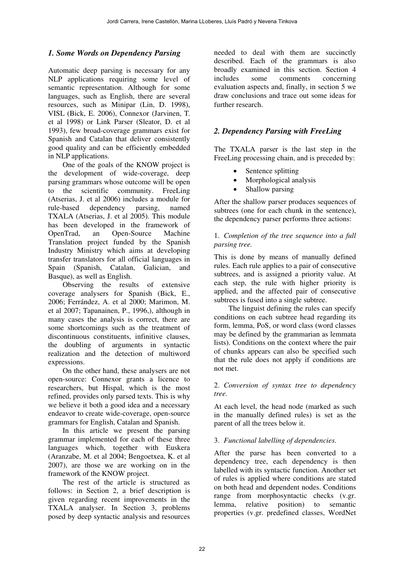### 1. Some Words on Dependency Parsing

Automatic deep parsing is necessary for any NLP applications requiring some level of semantic representation. Although for some languages, such as English, there are several resources, such as Minipar (Lin, D. 1998), VISL (Bick, E. 2006), Connexor (Jarvinen, T. et al 1998) or Link Parser (Sleator, D. et al 1993), few broad-coverage grammars exist for Spanish and Catalan that deliver consistently good quality and can be efficiently embedded in NLP applications.

One of the goals of the KNOW project is the development of wide-coverage, deep parsing grammars whose outcome will be open to the scientific community. FreeLing (Atserias, J. et al 2006) includes a module for rule-based dependency parsing, named TXALA (Atserias, J. et al 2005). This module has been developed in the framework of OpenTrad, an Open-Source Machine Translation project funded by the Spanish Industry Ministry which aims at developing transfer translators for all official languages in Spain (Spanish, Catalan, Galician, and Basque), as well as English.

Observing the results of extensive coverage analysers for Spanish (Bick, E., 2006; Ferrández, A. et al 2000; Marimon, M. et al 2007; Tapanainen, P., 1996,), although in many cases the analysis is correct, there are some shortcomings such as the treatment of discontinuous constituents, infinitive clauses, the doubling of arguments in syntactic realization and the detection of multiword expressions.

On the other hand, these analysers are not open-source: Connexor grants a licence to researchers, but Hispal, which is the most refined, provides only parsed texts. This is why we believe it both a good idea and a necessary endeavor to create wide-coverage, open-source grammars for English, Catalan and Spanish.

In this article we present the parsing grammar implemented for each of these three languages which, together with Euskera (Aranzabe, M. et al 2004; Bengoetxea, K. et al 2007), are those we are working on in the framework of the KNOW project.

The rest of the article is structured as follows: in Section 2, a brief description is given regarding recent improvements in the TXALA analyser. In Section 3, problems posed by deep syntactic analysis and resources

needed to deal with them are succinctly described. Each of the grammars is also broadly examined in this section. Section 4 includes some comments concerning evaluation aspects and, finally, in section 5 we draw conclusions and trace out some ideas for further research.

### 2. Dependency Parsing with FreeLing

The TXALA parser is the last step in the FreeLing processing chain, and is preceded by:

- Sentence splitting
- Morphological analysis
- Shallow parsing

After the shallow parser produces sequences of subtrees (one for each chunk in the sentence), the dependency parser performs three actions:

#### 1. Completion of the tree sequence into a full parsing tree.

This is done by means of manually defined rules. Each rule applies to a pair of consecutive subtrees, and is assigned a priority value. At each step, the rule with higher priority is applied, and the affected pair of consecutive subtrees is fused into a single subtree.

The linguist defining the rules can specify conditions on each subtree head regarding its form, lemma, PoS, or word class (word classes may be defined by the grammarian as lemmata lists). Conditions on the context where the pair of chunks appears can also be specified such that the rule does not apply if conditions are not met.

#### 2. Conversion of syntax tree to dependency tree.

At each level, the head node (marked as such in the manually defined rules) is set as the parent of all the trees below it.

#### 3. Functional labelling of dependencies.

After the parse has been converted to a dependency tree, each dependency is then labelled with its syntactic function. Another set of rules is applied where conditions are stated on both head and dependent nodes. Conditions range from morphosyntactic checks (v.gr. lemma, relative position) to semantic properties (v.gr. predefined classes, WordNet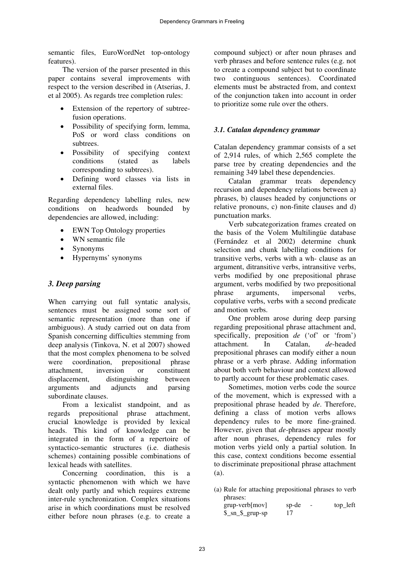semantic files, EuroWordNet top-ontology features).

The version of the parser presented in this paper contains several improvements with respect to the version described in (Atserias, J. et al 2005). As regards tree completion rules:

- Extension of the repertory of subtreefusion operations.
- � Possibility of specifying form, lemma, PoS or word class conditions on subtrees.
- Possibility of specifying context conditions (stated as labels corresponding to subtrees).
- Defining word classes via lists in external files.

Regarding dependency labelling rules, new conditions on headwords bounded by dependencies are allowed, including:

- EWN Top Ontology properties
- WN semantic file
- Synonyms
- � Hypernyms' synonyms

#### 3. Deep parsing

When carrying out full syntatic analysis, sentences must be assigned some sort of semantic representation (more than one if ambiguous). A study carried out on data from Spanish concerning difficulties stemming from deep analysis (Tinkova, N. et al 2007) showed that the most complex phenomena to be solved were coordination, prepositional phrase attachment, inversion or constituent displacement, distinguishing between arguments and adjuncts and parsing subordinate clauses.

From a lexicalist standpoint, and as regards prepositional phrase attachment, crucial knowledge is provided by lexical heads. This kind of knowledge can be integrated in the form of a repertoire of syntactico-semantic structures (i.e. diathesis schemes) containing possible combinations of lexical heads with satellites.

Concerning coordination, this is a syntactic phenomenon with which we have dealt only partly and which requires extreme inter-rule synchronization. Complex situations arise in which coordinations must be resolved either before noun phrases (e.g. to create a compound subject) or after noun phrases and verb phrases and before sentence rules (e.g. not to create a compound subject but to coordinate two continguous sentences). Coordinated elements must be abstracted from, and context of the conjunction taken into account in order to prioritize some rule over the others.

#### 3.1. Catalan dependency grammar

Catalan dependency grammar consists of a set of 2,914 rules, of which 2,565 complete the parse tree by creating dependencies and the remaining 349 label these dependencies.

Catalan grammar treats dependency recursion and dependency relations between a) phrases, b) clauses headed by conjunctions or relative pronouns, c) non-finite clauses and d) punctuation marks.

Verb subcategorization frames created on the basis of the Volem Multilingüe database (Fernández et al 2002) determine chunk selection and chunk labelling conditions for transitive verbs, verbs with a wh- clause as an argument, ditransitive verbs, intransitive verbs, verbs modified by one prepositional phrase argument, verbs modified by two prepositional phrase arguments, impersonal verbs, copulative verbs, verbs with a second predicate and motion verbs.

One problem arose during deep parsing regarding prepositional phrase attachment and, specifically, preposition de ('of' or 'from') attachment. In Catalan, de-headed prepositional phrases can modify either a noun phrase or a verb phrase. Adding information about both verb behaviour and context allowed to partly account for these problematic cases.

Sometimes, motion verbs code the source of the movement, which is expressed with a prepositional phrase headed by de. Therefore, defining a class of motion verbs allows dependency rules to be more fine-grained. However, given that *de*-phrases appear mostly after noun phrases, dependency rules for motion verbs yield only a partial solution. In this case, context conditions become essential to discriminate prepositional phrase attachment (a).

(a) Rule for attaching prepositional phrases to verb phrases:

| grup-verb[mov]                                 | sp-de<br>$\overline{\phantom{a}}$ | top_left |
|------------------------------------------------|-----------------------------------|----------|
| $\frac{\$ {m}{s}} sn $\frac{\$ {m}{s}} grup-sp | 17                                |          |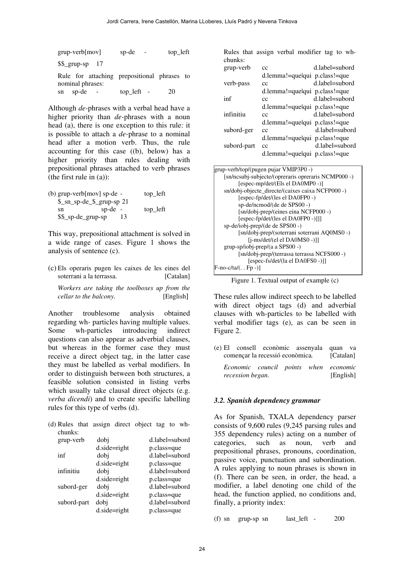| $grup-verb[mov]$                                                | sp-de      | top_left |
|-----------------------------------------------------------------|------------|----------|
| $$ \$ _grup-sp 17                                               |            |          |
| Rule for attaching prepositional phrases to<br>nominal phrases: |            |          |
| sn sp-de                                                        | top_left - | 20       |

Although de-phrases with a verbal head have a higher priority than *de*-phrases with a noun head (a), there is one exception to this rule: it is possible to attach a de-phrase to a nominal head after a motion verb. Thus, the rule accounting for this case ((b), below) has a higher priority than rules dealing with prepositional phrases attached to verb phrases (the first rule in (a)):

| (b) grup-verb[mov] sp-de - |                           | top_left |
|----------------------------|---------------------------|----------|
|                            | \$_sn_sp-de_\$_grup-sp 21 |          |
| sn                         | $sp-de -$                 | top_left |
| \$\$_sp-de_grup-sp         | 13                        |          |

This way, prepositional attachment is solved in a wide range of cases. Figure 1 shows the analysis of sentence (c).

(c) Els operaris pugen les caixes de les eines del soterrani a la terrassa. [Catalan]

Workers are taking the toolboxes up from the cellar to the balcony. [English]

Another troublesome analysis obtained regarding wh- particles having multiple values. Some wh-particles introducing indirect questions can also appear as adverbial clauses, but whereas in the former case they must receive a direct object tag, in the latter case they must be labelled as verbal modifiers. In order to distinguish between both structures, a feasible solution consisted in listing verbs which usually take clausal direct objects (e.g. verba dicendi) and to create specific labelling rules for this type of verbs (d).

| (d) Rules that assign direct object tag to wh- |  |  |  |  |
|------------------------------------------------|--|--|--|--|
| chunks:                                        |  |  |  |  |

| grup-verb   | dobj           | d.label=subord |
|-------------|----------------|----------------|
|             | $d.side=right$ | p.class=que    |
| inf         | dobj           | d.label=subord |
|             | $d.side=right$ | p.class=que    |
| infinitiu   | dobi           | d.label=subord |
|             | d.side=right   | p.class=que    |
| subord-ger  | dobj           | d.label=subord |
|             | $d.side=right$ | p.class=que    |
| subord-part | dobi           | d.label=subord |
|             | $d.side=right$ | p.class=que    |

Rules that assign verbal modifier tag to whchunks:

| grup-verb   | сc                            | d.label=subord |
|-------------|-------------------------------|----------------|
|             | d.lemma!=quelqui p.class!=que |                |
| verb-pass   | сc                            | d.label=subord |
|             | d.lemma!=quelqui p.class!=que |                |
| inf         | cc                            | d.label=subord |
|             | d.lemma!=quelqui p.class!=que |                |
| infinitiu   | cc                            | d.label=subord |
|             | d.lemma!=quelqui p.class!=que |                |
| subord-ger  | cc                            | d.label=subord |
|             | d.lemma!=quelqui p.class!=que |                |
| subord-part | cc                            | d.label=subord |
|             | d.lemma!=quelqui p.class!=que |                |

| grup-verb/top/(pugen pujar VMIP3P0 -)               |
|-----------------------------------------------------|
| [sn/ncsubj-subjecte/(opreraris opreraris NCMP000 -) |
| [espec-mp/det/(Els el DA0MP0 -)]                    |
| sn/dobj-objecte_directe/(caixes caixa NCFP000 -)    |
| [espec-fp/det/(les el DA0FP0 -)                     |
| sp-de/ncmod/(de de SPS00 -)                         |
| [sn/dobj-prep/(eines eina NCFP000 -)                |
| [espec-fp/det/(les el DA0FP0 -)]]]                  |
| sp-de/iobj-prep/(de de SPS00 -)                     |
| [sn/dobj-prep/(soterrani soterrani AQ0MS0 -)        |
| $[i-ms/det/(el \text{ el } DA0MS0 -)]$              |
| $grup-sp/iobi-prep/(a a SPS00 -)$                   |
| [sn/dobj-prep/(terrassa terrassa NCFS000 -)         |
| [espec-fs/det/(la el DA0FS0 -)]]                    |
| $[F-no-c/ta/(. Fp -)]$                              |
|                                                     |

Figure 1. Textual output of example (c)

These rules allow indirect speech to be labelled with direct object tags (d) and adverbial clauses with wh-particles to be labelled with verbal modifier tags (e), as can be seen in Figure 2.

(e) El consell econòmic assenyala quan va començar la recessió econòmica. [Catalan] Economic council points when economic

recession began. [English]

#### 3.2. Spanish dependency grammar

prepositional pinases, pronouns, coordination, A rules applying to noun phrases is shown in modifier, a label denoting one child of the finally, a priority index: As for Spanish, TXALA dependency parser consists of 9,600 rules (9,245 parsing rules and 355 dependency rules) acting on a number of categories, such as noun, verb and prepositional phrases, pronouns, coordination, (f). There can be seen, in order, the head, a head, the function applied, no conditions and,

(f) sn grup-sp sn last left  $-$  200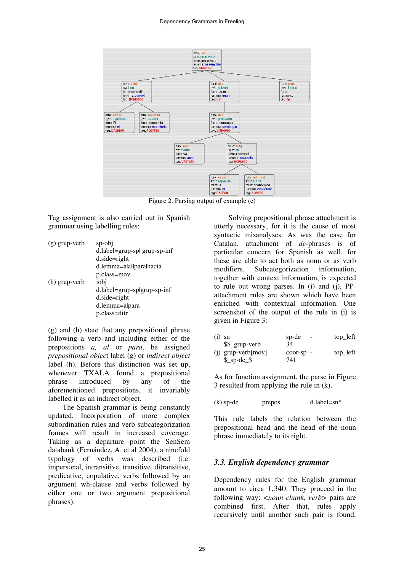

Figure 2. Parsing output of example (e)

Tag assignment is also carried out in Spanish grammar using labelling rules:

| $(g)$ grup-verb | sp-obj                       |
|-----------------|------------------------------|
|                 | d.label=grup-spl grup-sp-inf |
|                 | $d.side=right$               |
|                 | d.lemma=alallparalhacia      |
|                 | p.class=mov                  |
| (h) grup-verb   | iobj                         |
|                 | d.label=grup-splgrup-sp-inf  |
|                 | $d.side=right$               |
|                 | d.lemma=alpara               |
|                 | p.class=ditr                 |

(g) and (h) state that any prepositional phrase following a verb and including either of the prepositions a, al or para, be assigned prepositional object label (g) or indirect object label (h). Before this distinction was set up, whenever TXALA found a prepositional phrase introduced by any of the aforementioned prepositions, it invariably labelled it as an indirect object.

The Spanish grammar is being constantly updated. Incorporation of more complex subordination rules and verb subcategorization frames will result in increased coverage. Taking as a departure point the SenSem databank (Fernández, A. et al 2004), a ninefold typology of verbs was described (i.e. impersonal, intransitive, transitive, ditransitive, predicative, copulative, verbs followed by an argument wh-clause and verbs followed by either one or two argument prepositional phrases).

Solving prepositional phrase attachment is utterly necessary, for it is the cause of most syntactic misanalyses. As was the case for Catalan, attachment of de-phrases is of particular concern for Spanish as well, for these are able to act both as noun or as verb modifiers. Subcategorization information, together with context information, is expected to rule out wrong parses. In (i) and (j), PPattachment rules are shown which have been enriched with contextual information. One screenshot of the output of the rule in (i) is given in Figure 3:

| $(i)$ sn |                         | sp-de<br>$\sim$ | top_left |
|----------|-------------------------|-----------------|----------|
|          | \$\$_grup-verb          | 34              |          |
|          | $(i)$ grup-verb $[mov]$ | $coor-sp$ -     | top_left |
|          | $$$ _sp-de_\$           | 741             |          |

As for function assignment, the parse in Figure 3 resulted from applying the rule in (k).

 $(k)$  sp-de prepos d.label=sn\*

This rule labels the relation between the prepositional head and the head of the noun phrase immediately to its right.

#### 3.3. English dependency grammar

Dependency rules for the English grammar amount to circa 1,340. They proceed in the following way: <*noun chunk*, *verb*> pairs are combined first. After that, rules apply recursively until another such pair is found,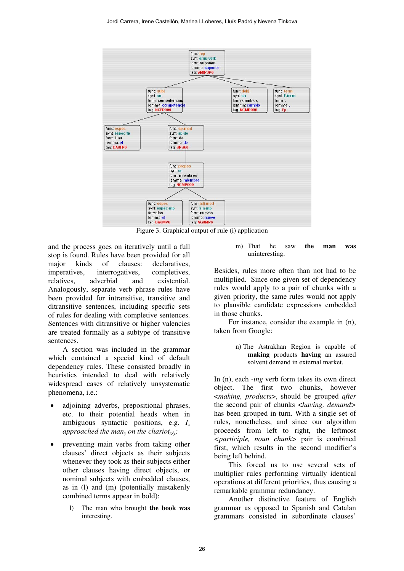

Figure 3. Graphical output of rule (i) application

and the process goes on iteratively until a full stop is found. Rules have been provided for all major kinds of clauses: declaratives, imperatives, interrogatives, completives, relatives, adverbial and existential. Analogously, separate verb phrase rules have been provided for intransitive, transitive and ditransitive sentences, including specific sets of rules for dealing with completive sentences. Sentences with ditransitive or higher valencies are treated formally as a subtype of transitive sentences.

A section was included in the grammar which contained a special kind of default dependency rules. These consisted broadly in heuristics intended to deal with relatively widespread cases of relatively unsystematic phenomena, i.e.:

- adioining adverbs, prepositional phrases, etc. to their potential heads when in ambiguous syntactic positions, e.g.  $I_x$ approached the man<sub>y</sub> on the chariot<sub>x/y</sub>;
- preventing main verbs from taking other clauses' direct objects as their subjects whenever they took as their subjects either other clauses having direct objects, or nominal subjects with embedded clauses, as in (l) and (m) (potentially mistakenly combined terms appear in bold):
	- l) The man who brought the book was interesting.

m) That he saw the man was uninteresting.

Besides, rules more often than not had to be multiplied. Since one given set of dependency rules would apply to a pair of chunks with a given priority, the same rules would not apply to plausible candidate expressions embedded in those chunks.

For instance, consider the example in (n), taken from Google:

> n) The Astrakhan Region is capable of making products having an assured solvent demand in external market.

In (n), each -ing verb form takes its own direct object. The first two chunks, however <making, products>, should be grouped after the second pair of chunks <*having*, *demand*> has been grouped in turn. With a single set of rules, nonetheless, and since our algorithm proceeds from left to right, the leftmost <participle, noun chunk> pair is combined first, which results in the second modifier's being left behind.

This forced us to use several sets of multiplier rules performing virtually identical operations at different priorities, thus causing a remarkable grammar redundancy.

Another distinctive feature of English grammar as opposed to Spanish and Catalan grammars consisted in subordinate clauses'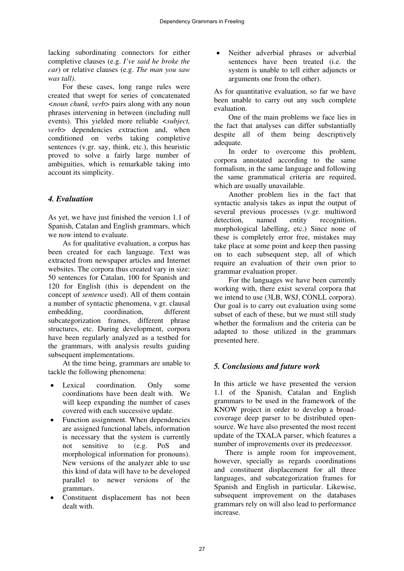lacking subordinating connectors for either completive clauses (e.g. I've said he broke the car) or relative clauses (e.g. The man you saw was tall).

For these cases, long range rules were created that swept for series of concatenated <noun chunk, verb> pairs along with any noun phrases intervening in between (including null events). This yielded more reliable <subject, verb> dependencies extraction and, when conditioned on verbs taking completive sentences (v.gr. say, think, etc.), this heuristic proved to solve a fairly large number of ambiguities, which is remarkable taking into account its simplicity.

### 4. Evaluation

As yet, we have just finished the version 1.1 of Spanish, Catalan and English grammars, which we now intend to evaluate.

As for qualitative evaluation, a corpus has been created for each language. Text was extracted from newspaper articles and Internet websites. The corpora thus created vary in size: 50 sentences for Catalan, 100 for Spanish and 120 for English (this is dependent on the concept of sentence used). All of them contain a number of syntactic phenomena, v.gr. clausal embedding, coordination, different subcategorization frames, different phrase structures, etc. During development, corpora have been regularly analyzed as a testbed for the grammars, with analysis results guiding subsequent implementations.

At the time being, grammars are unable to tackle the following phenomena:

- Lexical coordination. Only some coordinations have been dealt with. We will keep expanding the number of cases covered with each successive update.
- Function assignment. When dependencies are assigned functional labels, information is necessary that the system is currently not sensitive to (e.g. PoS and morphological information for pronouns). New versions of the analyzer able to use this kind of data will have to be developed parallel to newer versions of the grammars.
- � Constituent displacement has not been dealt with.

Neither adverbial phrases or adverbial sentences have been treated (i.e. the system is unable to tell either adjuncts or arguments one from the other).

As for quantitative evaluation, so far we have been unable to carry out any such complete evaluation.

One of the main problems we face lies in the fact that analyses can differ substantially despite all of them being descriptively adequate.

In order to overcome this problem, corpora annotated according to the same formalism, in the same language and following the same grammatical criteria are required, which are usually unavailable.

Another problem lies in the fact that syntactic analysis takes as input the output of several previous processes (v.gr. multiword detection, named entity recognition, morphological labelling, etc.) Since none of these is completely error free, mistakes may take place at some point and keep then passing on to each subsequent step, all of which require an evaluation of their own prior to grammar evaluation proper.

For the languages we have been currently working with, there exist several corpora that we intend to use (3LB, WSJ, CONLL corpora). Our goal is to carry out evaluation using some subset of each of these, but we must still study whether the formalism and the criteria can be adapted to those utilized in the grammars presented here.

## 5. Conclusions and future work

In this article we have presented the version 1.1 of the Spanish, Catalan and English grammars to be used in the framework of the KNOW project in order to develop a broadcoverage deep parser to be distributed opensource. We have also presented the most recent update of the TXALA parser, which features a number of improvements over its predecessor.

 There is ample room for improvement, however, specially as regards coordinations and constituent displacement for all three languages, and subcategorization frames for Spanish and English in particular. Likewise, subsequent improvement on the databases grammars rely on will also lead to performance increase.